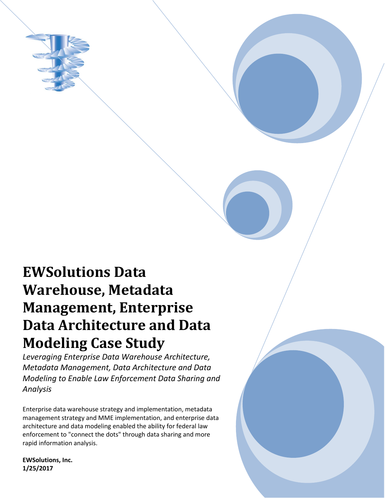

# **EWSolutions Data Warehouse, Metadata Management, Enterprise Data Architecture and Data Modeling Case Study**

*Leveraging Enterprise Data Warehouse Architecture, Metadata Management, Data Architecture and Data Modeling to Enable Law Enforcement Data Sharing and Analysis*

Enterprise data warehouse strategy and implementation, metadata management strategy and MME implementation, and enterprise data architecture and data modeling enabled the ability for federal law enforcement to "connect the dots" through data sharing and more rapid information analysis.

**EWSolutions, Inc. 1/25/2017**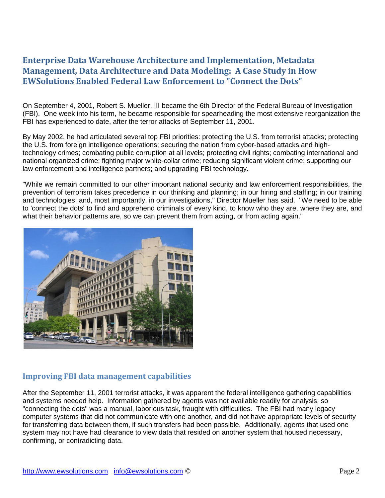# **Enterprise Data Warehouse Architecture and Implementation, Metadata Management, Data Architecture and Data Modeling: A Case Study in How EWSolutions Enabled Federal Law Enforcement to "Connect the Dots"**

On September 4, 2001, Robert S. Mueller, III became the 6th Director of the Federal Bureau of Investigation (FBI). One week into his term, he became responsible for spearheading the most extensive reorganization the FBI has experienced to date, after the terror attacks of September 11, 2001.

By May 2002, he had articulated several top FBI priorities: protecting the U.S. from terrorist attacks; protecting the U.S. from foreign intelligence operations; securing the nation from cyber-based attacks and hightechnology crimes; combating public corruption at all levels; protecting civil rights; combating international and national organized crime; fighting major white-collar crime; reducing significant violent crime; supporting our law enforcement and intelligence partners; and upgrading FBI technology.

"While we remain committed to our other important national security and law enforcement responsibilities, the prevention of terrorism takes precedence in our thinking and planning; in our hiring and staffing; in our training and technologies; and, most importantly, in our investigations," Director Mueller has said. "We need to be able to 'connect the dots' to find and apprehend criminals of every kind, to know who they are, where they are, and what their behavior patterns are, so we can prevent them from acting, or from acting again."



### **Improving FBI data management capabilities**

After the September 11, 2001 terrorist attacks, it was apparent the federal intelligence gathering capabilities and systems needed help. Information gathered by agents was not available readily for analysis, so "connecting the dots" was a manual, laborious task, fraught with difficulties. The FBI had many legacy computer systems that did not communicate with one another, and did not have appropriate levels of security for transferring data between them, if such transfers had been possible. Additionally, agents that used one system may not have had clearance to view data that resided on another system that housed necessary, confirming, or contradicting data.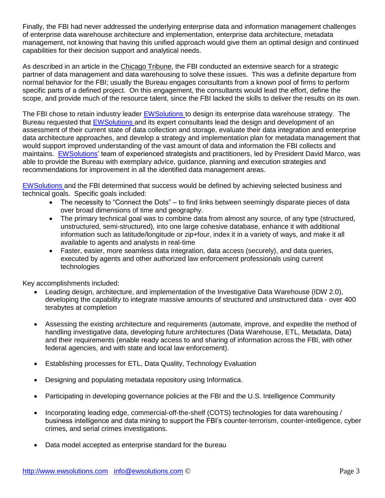Finally, the FBI had never addressed the underlying enterprise data and information management challenges of enterprise data warehouse architecture and implementation, enterprise data architecture, metadata management, not knowing that having this unified approach would give them an optimal design and continued capabilities for their decision support and analytical needs.

As described in an article in the Chicago Tribune, the FBI conducted an extensive search for a strategic partner of data management and data warehousing to solve these issues. This was a definite departure from normal behavior for the FBI; usually the Bureau engages consultants from a known pool of firms to perform specific parts of a defined project. On this engagement, the consultants would lead the effort, define the scope, and provide much of the resource talent, since the FBI lacked the skills to deliver the results on its own.

The FBI chose to retain industry leader [EWSolutions t](http://www.ewsolutions.com/)o design its enterprise data warehouse strategy. The Bureau requested that [EWSolutions a](http://www.ewsolutions.com/)nd its expert consultants lead the design and development of an assessment of their current state of data collection and storage, evaluate their data integration and enterprise data architecture approaches, and develop a strategy and implementation plan for metadata management that would support improved understanding of the vast amount of data and information the FBI collects and maintains. [EWSolutions'](http://www.ewsolutions.com/) team of experienced strategists and practitioners, led by President David Marco, was able to provide the Bureau with exemplary advice, guidance, planning and execution strategies and recommendations for improvement in all the identified data management areas.

[EWSolutions a](http://www.ewsolutions.com/)nd the FBI determined that success would be defined by achieving selected business and technical goals. Specific goals included:

- The necessity to "Connect the Dots" to find links between seemingly disparate pieces of data over broad dimensions of time and geography.
- The primary technical goal was to combine data from almost any source, of any type (structured, unstructured, semi-structured), into one large cohesive database, enhance it with additional information such as latitude/longitude or zip+four, index it in a variety of ways, and make it all available to agents and analysts in real-time
- Faster, easier, more seamless data integration, data access (securely), and data queries, executed by agents and other authorized law enforcement professionals using current technologies

Key accomplishments included:

- Leading design, architecture, and implementation of the Investigative Data Warehouse (IDW 2.0), developing the capability to integrate massive amounts of structured and unstructured data - over 400 terabytes at completion
- Assessing the existing architecture and requirements (automate, improve, and expedite the method of handling investigative data, developing future architectures (Data Warehouse, ETL, Metadata, Data) and their requirements (enable ready access to and sharing of information across the FBI, with other federal agencies, and with state and local law enforcement).
- Establishing processes for ETL, Data Quality, Technology Evaluation
- Designing and populating metadata repository using Informatica.
- Participating in developing governance policies at the FBI and the U.S. Intelligence Community
- Incorporating leading edge, commercial-off-the-shelf (COTS) technologies for data warehousing / business intelligence and data mining to support the FBI's counter-terrorism, counter-intelligence, cyber crimes, and serial crimes investigations.
- Data model accepted as enterprise standard for the bureau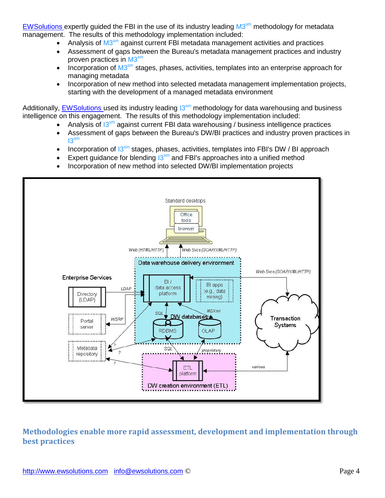[EWSolutions e](http://www.ewsolutions.com/)xpertly guided the FBI in the use of its industry leading M3<sup>sm</sup> methodology for metadata management. The results of this methodology implementation included:

- Analysis of M3<sup>sm</sup> against current FBI metadata management activities and practices
- Assessment of gaps between the Bureau's metadata management practices and industry proven practices in M3<sup>sm</sup>
- Incorporation of  $M3<sup>sm</sup>$  stages, phases, activities, templates into an enterprise approach for managing metadata
- Incorporation of new method into selected metadata management implementation projects, starting with the development of a managed metadata environment

Additionally, [EWSolutions u](http://www.ewsolutions.com/)sed its industry leading  $13<sup>sm</sup>$  methodology for data warehousing and business intelligence on this engagement. The results of this methodology implementation included:

- Analysis of  $13<sup>sm</sup>$  against current FBI data warehousing / business intelligence practices
- Assessment of gaps between the Bureau's DW/BI practices and industry proven practices in  $13<sup>sm</sup>$
- Incorporation of  $13^{sm}$  stages, phases, activities, templates into FBI's DW / BI approach
- Expert guidance for blending  $13<sup>sm</sup>$  and FBI's approaches into a unified method
- Incorporation of new method into selected DW/BI implementation projects



## **Methodologies enable more rapid assessment, development and implementation through best practices**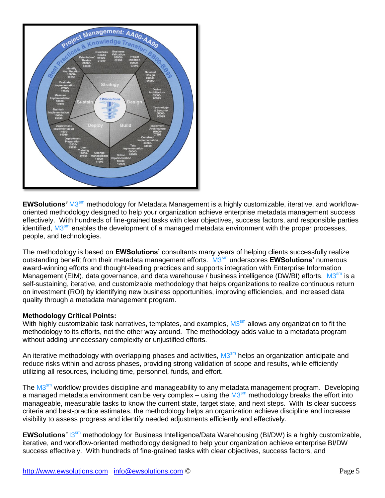

EWSolutions' M3<sup>sm</sup> methodology for Metadata Management is a highly customizable, iterative, and workfloworiented methodology designed to help your organization achieve enterprise metadata management success effectively. With hundreds of fine-grained tasks with clear objectives, success factors, and responsible parties identified, M3<sup>sm</sup> enables the development of a managed metadata environment with the proper processes, people, and technologies.

The methodology is based on **EWSolutions'** consultants many years of helping clients successfully realize outstanding benefit from their metadata management efforts. M3 sm underscores **EWSolutions'** numerous award-winning efforts and thought-leading practices and supports integration with Enterprise Information Management (EIM), data governance, and data warehouse / business intelligence (DW/BI) efforts. M3<sup>sm</sup> is a self-sustaining, iterative, and customizable methodology that helps organizations to realize continuous return on investment (ROI) by identifying new business opportunities, improving efficiencies, and increased data quality through a metadata management program.

#### **Methodology Critical Points:**

With highly customizable task narratives, templates, and examples, M3<sup>sm</sup> allows any organization to fit the methodology to its efforts, not the other way around. The methodology adds value to a metadata program without adding unnecessary complexity or unjustified efforts.

An iterative methodology with overlapping phases and activities, M3<sup>sm</sup> helps an organization anticipate and reduce risks within and across phases, providing strong validation of scope and results, while efficiently utilizing all resources, including time, personnel, funds, and effort.

The M3<sup>sm</sup> workflow provides discipline and manageability to any metadata management program. Developing a managed metadata environment can be very complex – using the M3<sup>sm</sup> methodology breaks the effort into manageable, measurable tasks to know the current state, target state, and next steps. With its clear success criteria and best-practice estimates, the methodology helps an organization achieve discipline and increase visibility to assess progress and identify needed adjustments efficiently and effectively.

**EWSolutions<sup>'</sup> 13<sup>sm</sup> methodology for Business Intelligence/Data Warehousing (BI/DW) is a highly customizable,** iterative, and workflow-oriented methodology designed to help your organization achieve enterprise BI/DW success effectively. With hundreds of fine-grained tasks with clear objectives, success factors, and